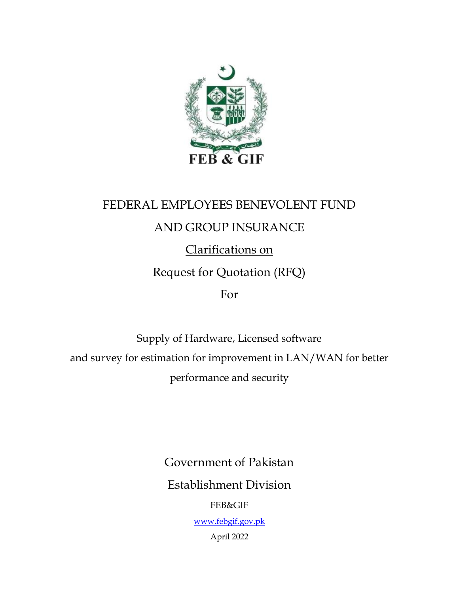

# FEDERAL EMPLOYEES BENEVOLENT FUND

# AND GROUP INSURANCE

Clarifications on

Request for Quotation (RFQ)

For

Supply of Hardware, Licensed software and survey for estimation for improvement in LAN/WAN for better performance and security

Government of Pakistan

Establishment Division

FEB&GIF

[www.febgif.gov.pk](http://www.febgif.gov.pk/)

April 2022